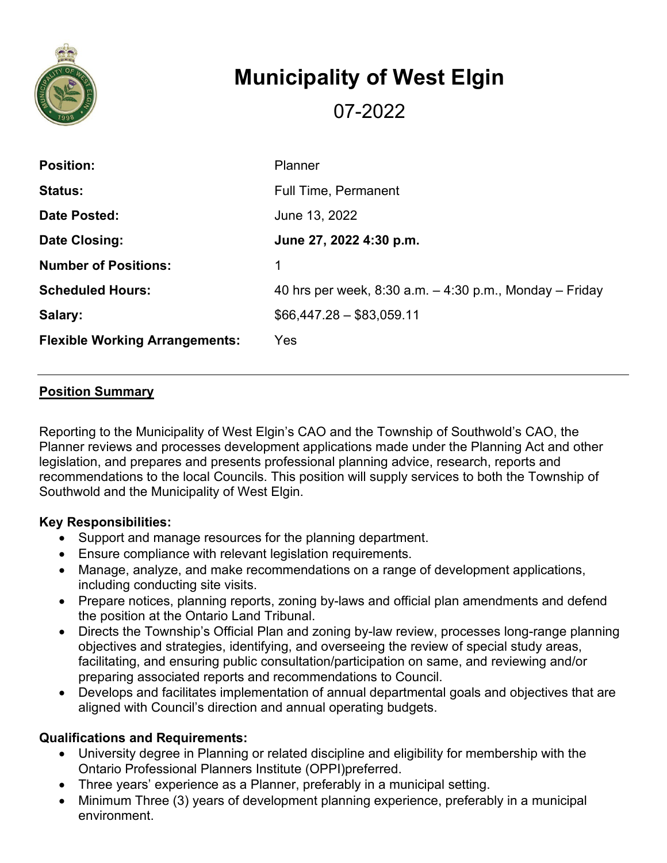

# **Municipality of West Elgin**

07-2022

| <b>Position:</b>                      | Planner                                                      |
|---------------------------------------|--------------------------------------------------------------|
| <b>Status:</b>                        | <b>Full Time, Permanent</b>                                  |
| Date Posted:                          | June 13, 2022                                                |
| Date Closing:                         | June 27, 2022 4:30 p.m.                                      |
| <b>Number of Positions:</b>           | 1                                                            |
| <b>Scheduled Hours:</b>               | 40 hrs per week, $8:30$ a.m. $-4:30$ p.m., Monday $-$ Friday |
| Salary:                               | $$66,447.28 - $83,059.11$                                    |
| <b>Flexible Working Arrangements:</b> | Yes                                                          |

### **Position Summary**

Reporting to the Municipality of West Elgin's CAO and the Township of Southwold's CAO, the Planner reviews and processes development applications made under the Planning Act and other legislation, and prepares and presents professional planning advice, research, reports and recommendations to the local Councils. This position will supply services to both the Township of Southwold and the Municipality of West Elgin.

#### **Key Responsibilities:**

- Support and manage resources for the planning department.
- Ensure compliance with relevant legislation requirements.
- Manage, analyze, and make recommendations on a range of development applications, including conducting site visits.
- Prepare notices, planning reports, zoning by-laws and official plan amendments and defend the position at the Ontario Land Tribunal.
- Directs the Township's Official Plan and zoning by-law review, processes long-range planning objectives and strategies, identifying, and overseeing the review of special study areas, facilitating, and ensuring public consultation/participation on same, and reviewing and/or preparing associated reports and recommendations to Council.
- Develops and facilitates implementation of annual departmental goals and objectives that are aligned with Council's direction and annual operating budgets.

## **Qualifications and Requirements:**

- University degree in Planning or related discipline and eligibility for membership with the Ontario Professional Planners Institute (OPPI)preferred.
- Three years' experience as a Planner, preferably in a municipal setting.
- Minimum Three (3) years of development planning experience, preferably in a municipal environment.